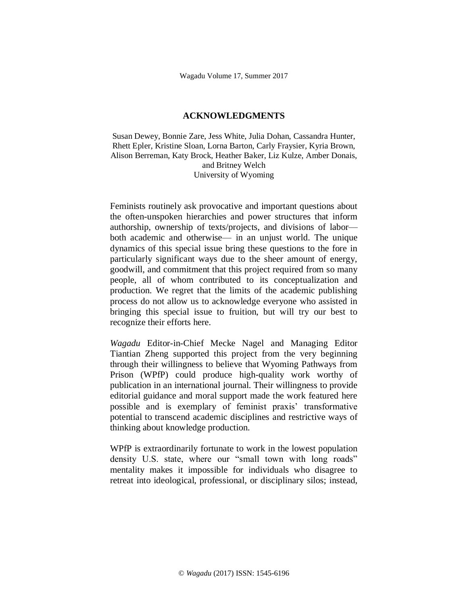## **ACKNOWLEDGMENTS**

Susan Dewey, Bonnie Zare, Jess White, Julia Dohan, Cassandra Hunter, Rhett Epler, Kristine Sloan, Lorna Barton, Carly Fraysier, Kyria Brown, Alison Berreman, Katy Brock, Heather Baker, Liz Kulze, Amber Donais, and Britney Welch University of Wyoming

Feminists routinely ask provocative and important questions about the often-unspoken hierarchies and power structures that inform authorship, ownership of texts/projects, and divisions of labor both academic and otherwise— in an unjust world. The unique dynamics of this special issue bring these questions to the fore in particularly significant ways due to the sheer amount of energy, goodwill, and commitment that this project required from so many people, all of whom contributed to its conceptualization and production. We regret that the limits of the academic publishing process do not allow us to acknowledge everyone who assisted in bringing this special issue to fruition, but will try our best to recognize their efforts here.

*Wagadu* Editor-in-Chief Mecke Nagel and Managing Editor Tiantian Zheng supported this project from the very beginning through their willingness to believe that Wyoming Pathways from Prison (WPfP) could produce high-quality work worthy of publication in an international journal. Their willingness to provide editorial guidance and moral support made the work featured here possible and is exemplary of feminist praxis' transformative potential to transcend academic disciplines and restrictive ways of thinking about knowledge production.

WPfP is extraordinarily fortunate to work in the lowest population density U.S. state, where our "small town with long roads" mentality makes it impossible for individuals who disagree to retreat into ideological, professional, or disciplinary silos; instead,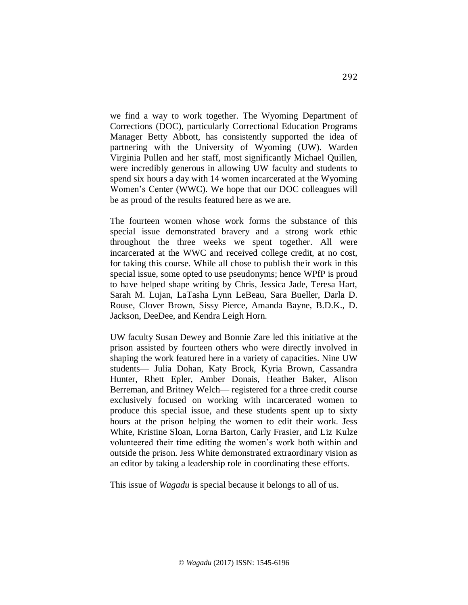we find a way to work together. The Wyoming Department of Corrections (DOC), particularly Correctional Education Programs Manager Betty Abbott, has consistently supported the idea of partnering with the University of Wyoming (UW). Warden Virginia Pullen and her staff, most significantly Michael Quillen, were incredibly generous in allowing UW faculty and students to spend six hours a day with 14 women incarcerated at the Wyoming Women's Center (WWC). We hope that our DOC colleagues will be as proud of the results featured here as we are.

The fourteen women whose work forms the substance of this special issue demonstrated bravery and a strong work ethic throughout the three weeks we spent together. All were incarcerated at the WWC and received college credit, at no cost, for taking this course. While all chose to publish their work in this special issue, some opted to use pseudonyms; hence WPfP is proud to have helped shape writing by Chris, Jessica Jade, Teresa Hart, Sarah M. Lujan, LaTasha Lynn LeBeau, Sara Bueller, Darla D. Rouse, Clover Brown, Sissy Pierce, Amanda Bayne, B.D.K., D. Jackson, DeeDee, and Kendra Leigh Horn.

UW faculty Susan Dewey and Bonnie Zare led this initiative at the prison assisted by fourteen others who were directly involved in shaping the work featured here in a variety of capacities. Nine UW students— Julia Dohan, Katy Brock, Kyria Brown, Cassandra Hunter, Rhett Epler, Amber Donais, Heather Baker, Alison Berreman, and Britney Welch— registered for a three credit course exclusively focused on working with incarcerated women to produce this special issue, and these students spent up to sixty hours at the prison helping the women to edit their work. Jess White, Kristine Sloan, Lorna Barton, Carly Frasier, and Liz Kulze volunteered their time editing the women's work both within and outside the prison. Jess White demonstrated extraordinary vision as an editor by taking a leadership role in coordinating these efforts.

This issue of *Wagadu* is special because it belongs to all of us.